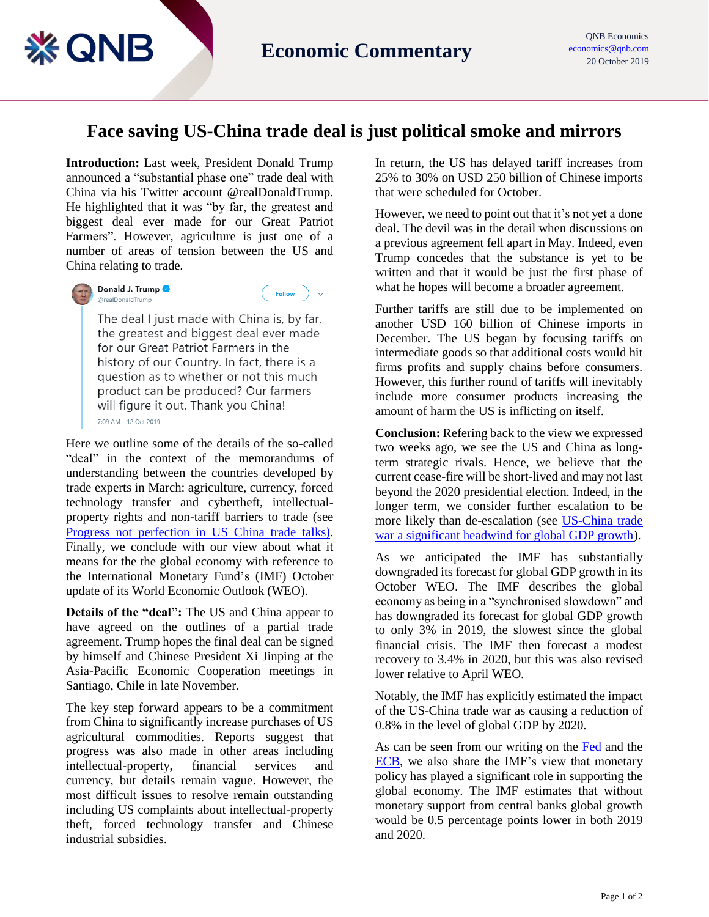## **Face saving US-China trade deal is just political smoke and mirrors**

**Introduction:** Last week, President Donald Trump announced a "substantial phase one" trade deal with China via his Twitter account @realDonaldTrump. He highlighted that it was "by far, the greatest and biggest deal ever made for our Great Patriot Farmers". However, agriculture is just one of a number of areas of tension between the US and China relating to trade.



**※ QNB** 

## Donald J. Trump @realDonaldTrump



The deal I just made with China is, by far, the greatest and biggest deal ever made for our Great Patriot Farmers in the history of our Country. In fact, there is a question as to whether or not this much product can be produced? Our farmers will figure it out. Thank you China! 7:09 AM - 12 Oct 2019

Here we outline some of the details of the so-called "deal" in the context of the memorandums of understanding between the countries developed by trade experts in March: agriculture, currency, forced technology transfer and cybertheft, intellectualproperty rights and non-tariff barriers to trade (see [Progress not perfection in US China trade talks](https://www.qnb.com/sites/qnb/qnbglobal/en/eneconomics24mar19news)). Finally, we conclude with our view about what it means for the the global economy with reference to the International Monetary Fund's (IMF) October update of its World Economic Outlook (WEO).

**Details of the "deal":** The US and China appear to have agreed on the outlines of a partial trade agreement. Trump hopes the final deal can be signed by himself and Chinese President Xi Jinping at the Asia-Pacific Economic Cooperation meetings in Santiago, Chile in late November.

The key step forward appears to be a commitment from China to significantly increase purchases of US agricultural commodities. Reports suggest that progress was also made in other areas including intellectual-property, financial services and currency, but details remain vague. However, the most difficult issues to resolve remain outstanding including US complaints about intellectual-property theft, forced technology transfer and Chinese industrial subsidies.

In return, the US has delayed tariff increases from 25% to 30% on USD 250 billion of Chinese imports that were scheduled for October.

However, we need to point out that it's not yet a done deal. The devil was in the detail when discussions on a previous agreement fell apart in May. Indeed, even Trump concedes that the substance is yet to be written and that it would be just the first phase of what he hopes will become a broader agreement.

Further tariffs are still due to be implemented on another USD 160 billion of Chinese imports in December. The US began by focusing tariffs on intermediate goods so that additional costs would hit firms profits and supply chains before consumers. However, this further round of tariffs will inevitably include more consumer products increasing the amount of harm the US is inflicting on itself.

**Conclusion:** Refering back to the view we expressed two weeks ago, we see the US and China as longterm strategic rivals. Hence, we believe that the current cease-fire will be short-lived and may not last beyond the 2020 presidential election. Indeed, in the longer term, we consider further escalation to be more likely than de-escalation (see [US-China trade](https://www.qnb.com/sites/qnb/qnbglobal/en/eneconomics5oct2019news)  [war a significant headwind for global GDP growth\)](https://www.qnb.com/sites/qnb/qnbglobal/en/eneconomics5oct2019news).

As we anticipated the IMF has substantially downgraded its forecast for global GDP growth in its October WEO. The IMF describes the global economy as being in a "synchronised slowdown" and has downgraded its forecast for global GDP growth to only 3% in 2019, the slowest since the global financial crisis. The IMF then forecast a modest recovery to 3.4% in 2020, but this was also revised lower relative to April WEO.

Notably, the IMF has explicitly estimated the impact of the US-China trade war as causing a reduction of 0.8% in the level of global GDP by 2020.

As can be seen from our writing on the [Fed](https://www.qnb.com/sites/qnb/qnbglobal/en/eneconomics29sep19news) and the [ECB,](https://www.qnb.com/sites/qnb/qnbglobal/en/eneconomic22sep2019news) we also share the IMF's view that monetary policy has played a significant role in supporting the global economy. The IMF estimates that without monetary support from central banks global growth would be 0.5 percentage points lower in both 2019 and 2020.